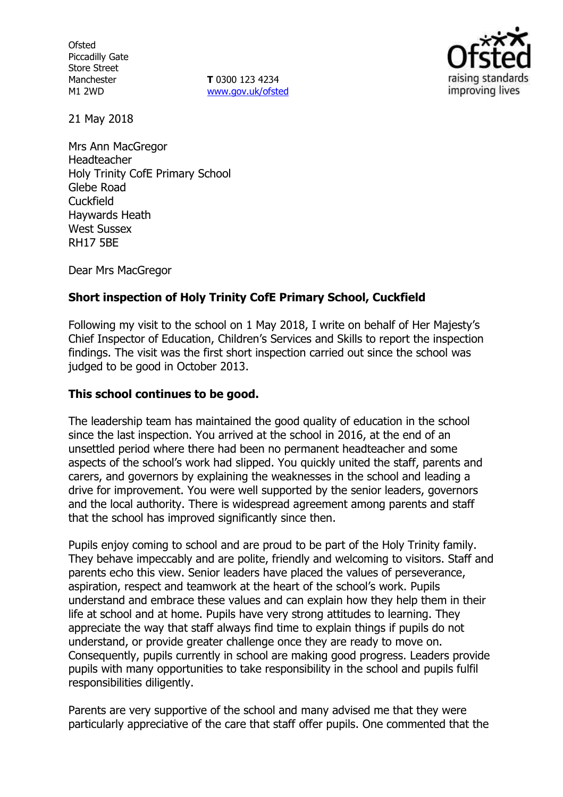**Ofsted** Piccadilly Gate Store Street Manchester M1 2WD

**T** 0300 123 4234 www.gov.uk/ofsted



21 May 2018

Mrs Ann MacGregor Headteacher Holy Trinity CofE Primary School Glebe Road Cuckfield Haywards Heath West Sussex RH17 5BE

Dear Mrs MacGregor

# **Short inspection of Holy Trinity CofE Primary School, Cuckfield**

Following my visit to the school on 1 May 2018, I write on behalf of Her Majesty's Chief Inspector of Education, Children's Services and Skills to report the inspection findings. The visit was the first short inspection carried out since the school was judged to be good in October 2013.

### **This school continues to be good.**

The leadership team has maintained the good quality of education in the school since the last inspection. You arrived at the school in 2016, at the end of an unsettled period where there had been no permanent headteacher and some aspects of the school's work had slipped. You quickly united the staff, parents and carers, and governors by explaining the weaknesses in the school and leading a drive for improvement. You were well supported by the senior leaders, governors and the local authority. There is widespread agreement among parents and staff that the school has improved significantly since then.

Pupils enjoy coming to school and are proud to be part of the Holy Trinity family. They behave impeccably and are polite, friendly and welcoming to visitors. Staff and parents echo this view. Senior leaders have placed the values of perseverance, aspiration, respect and teamwork at the heart of the school's work. Pupils understand and embrace these values and can explain how they help them in their life at school and at home. Pupils have very strong attitudes to learning. They appreciate the way that staff always find time to explain things if pupils do not understand, or provide greater challenge once they are ready to move on. Consequently, pupils currently in school are making good progress. Leaders provide pupils with many opportunities to take responsibility in the school and pupils fulfil responsibilities diligently.

Parents are very supportive of the school and many advised me that they were particularly appreciative of the care that staff offer pupils. One commented that the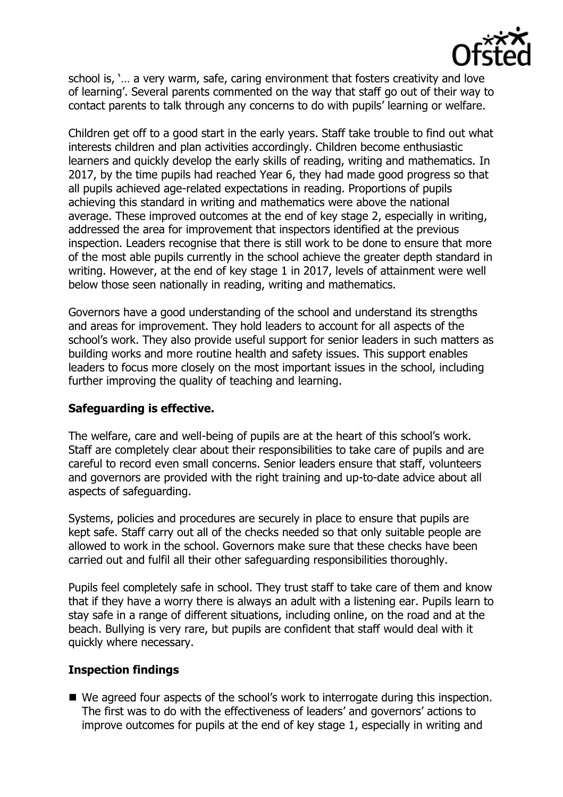

school is, '… a very warm, safe, caring environment that fosters creativity and love of learning'. Several parents commented on the way that staff go out of their way to contact parents to talk through any concerns to do with pupils' learning or welfare.

Children get off to a good start in the early years. Staff take trouble to find out what interests children and plan activities accordingly. Children become enthusiastic learners and quickly develop the early skills of reading, writing and mathematics. In 2017, by the time pupils had reached Year 6, they had made good progress so that all pupils achieved age-related expectations in reading. Proportions of pupils achieving this standard in writing and mathematics were above the national average. These improved outcomes at the end of key stage 2, especially in writing, addressed the area for improvement that inspectors identified at the previous inspection. Leaders recognise that there is still work to be done to ensure that more of the most able pupils currently in the school achieve the greater depth standard in writing. However, at the end of key stage 1 in 2017, levels of attainment were well below those seen nationally in reading, writing and mathematics.

Governors have a good understanding of the school and understand its strengths and areas for improvement. They hold leaders to account for all aspects of the school's work. They also provide useful support for senior leaders in such matters as building works and more routine health and safety issues. This support enables leaders to focus more closely on the most important issues in the school, including further improving the quality of teaching and learning.

# **Safeguarding is effective.**

The welfare, care and well-being of pupils are at the heart of this school's work. Staff are completely clear about their responsibilities to take care of pupils and are careful to record even small concerns. Senior leaders ensure that staff, volunteers and governors are provided with the right training and up-to-date advice about all aspects of safeguarding.

Systems, policies and procedures are securely in place to ensure that pupils are kept safe. Staff carry out all of the checks needed so that only suitable people are allowed to work in the school. Governors make sure that these checks have been carried out and fulfil all their other safeguarding responsibilities thoroughly.

Pupils feel completely safe in school. They trust staff to take care of them and know that if they have a worry there is always an adult with a listening ear. Pupils learn to stay safe in a range of different situations, including online, on the road and at the beach. Bullying is very rare, but pupils are confident that staff would deal with it quickly where necessary.

#### **Inspection findings**

■ We agreed four aspects of the school's work to interrogate during this inspection. The first was to do with the effectiveness of leaders' and governors' actions to improve outcomes for pupils at the end of key stage 1, especially in writing and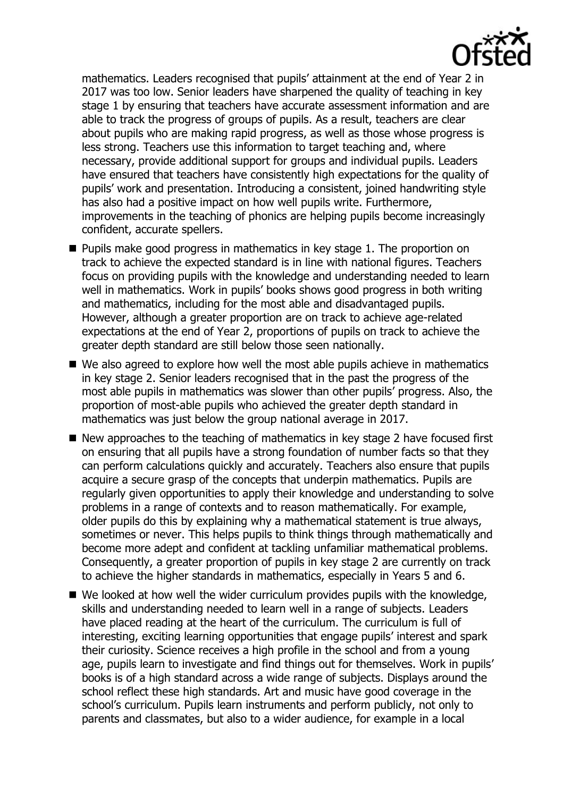

mathematics. Leaders recognised that pupils' attainment at the end of Year 2 in 2017 was too low. Senior leaders have sharpened the quality of teaching in key stage 1 by ensuring that teachers have accurate assessment information and are able to track the progress of groups of pupils. As a result, teachers are clear about pupils who are making rapid progress, as well as those whose progress is less strong. Teachers use this information to target teaching and, where necessary, provide additional support for groups and individual pupils. Leaders have ensured that teachers have consistently high expectations for the quality of pupils' work and presentation. Introducing a consistent, joined handwriting style has also had a positive impact on how well pupils write. Furthermore, improvements in the teaching of phonics are helping pupils become increasingly confident, accurate spellers.

- **Pupils make good progress in mathematics in key stage 1. The proportion on** track to achieve the expected standard is in line with national figures. Teachers focus on providing pupils with the knowledge and understanding needed to learn well in mathematics. Work in pupils' books shows good progress in both writing and mathematics, including for the most able and disadvantaged pupils. However, although a greater proportion are on track to achieve age-related expectations at the end of Year 2, proportions of pupils on track to achieve the greater depth standard are still below those seen nationally.
- We also agreed to explore how well the most able pupils achieve in mathematics in key stage 2. Senior leaders recognised that in the past the progress of the most able pupils in mathematics was slower than other pupils' progress. Also, the proportion of most-able pupils who achieved the greater depth standard in mathematics was just below the group national average in 2017.
- $\blacksquare$  New approaches to the teaching of mathematics in key stage 2 have focused first on ensuring that all pupils have a strong foundation of number facts so that they can perform calculations quickly and accurately. Teachers also ensure that pupils acquire a secure grasp of the concepts that underpin mathematics. Pupils are regularly given opportunities to apply their knowledge and understanding to solve problems in a range of contexts and to reason mathematically. For example, older pupils do this by explaining why a mathematical statement is true always, sometimes or never. This helps pupils to think things through mathematically and become more adept and confident at tackling unfamiliar mathematical problems. Consequently, a greater proportion of pupils in key stage 2 are currently on track to achieve the higher standards in mathematics, especially in Years 5 and 6.
- We looked at how well the wider curriculum provides pupils with the knowledge, skills and understanding needed to learn well in a range of subjects. Leaders have placed reading at the heart of the curriculum. The curriculum is full of interesting, exciting learning opportunities that engage pupils' interest and spark their curiosity. Science receives a high profile in the school and from a young age, pupils learn to investigate and find things out for themselves. Work in pupils' books is of a high standard across a wide range of subjects. Displays around the school reflect these high standards. Art and music have good coverage in the school's curriculum. Pupils learn instruments and perform publicly, not only to parents and classmates, but also to a wider audience, for example in a local